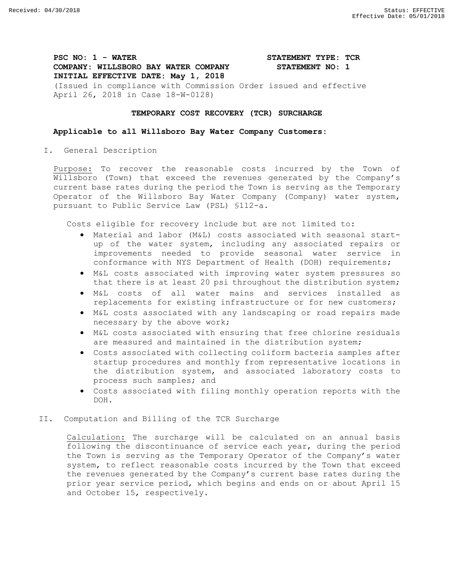**PSC NO: 1 - WATER STATEMENT TYPE: TCR COMPANY: WILLSBORO BAY WATER COMPANY STATEMENT NO: 1 INITIAL EFFECTIVE DATE: May 1, 2018** (Issued in compliance with Commission Order issued and effective April 26, 2018 in Case 18-W-0128)

## **TEMPORARY COST RECOVERY (TCR) SURCHARGE**

## **Applicable to all Willsboro Bay Water Company Customers:**

I. General Description

Purpose: To recover the reasonable costs incurred by the Town of Willsboro (Town) that exceed the revenues generated by the Company's current base rates during the period the Town is serving as the Temporary Operator of the Willsboro Bay Water Company (Company) water system, pursuant to Public Service Law (PSL) §112-a.

Costs eligible for recovery include but are not limited to:

- Material and labor (M&L) costs associated with seasonal startup of the water system, including any associated repairs or improvements needed to provide seasonal water service in conformance with NYS Department of Health (DOH) requirements;
- M&L costs associated with improving water system pressures so that there is at least 20 psi throughout the distribution system;
- M&L costs of all water mains and services installed as replacements for existing infrastructure or for new customers;
- M&L costs associated with any landscaping or road repairs made necessary by the above work;
- M&L costs associated with ensuring that free chlorine residuals are measured and maintained in the distribution system;
- Costs associated with collecting coliform bacteria samples after startup procedures and monthly from representative locations in the distribution system, and associated laboratory costs to process such samples; and
- Costs associated with filing monthly operation reports with the DOH.
- II. Computation and Billing of the TCR Surcharge

Calculation: The surcharge will be calculated on an annual basis following the discontinuance of service each year, during the period the Town is serving as the Temporary Operator of the Company's water system, to reflect reasonable costs incurred by the Town that exceed the revenues generated by the Company's current base rates during the prior year service period, which begins and ends on or about April 15 and October 15, respectively.